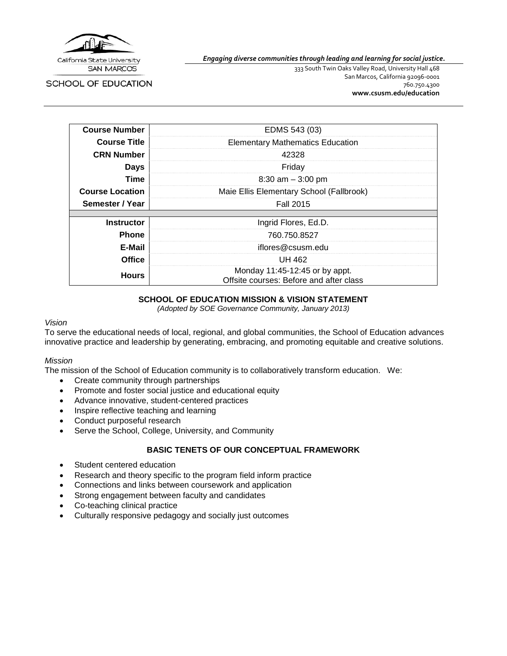

SCHOOL OF EDUCATION

*Engaging diverse communities through leading and learning for social justice.*

333 South Twin Oaks Valley Road, University Hall 468 San Marcos, California 92096-0001 760.750.4300 **[www.csusm.edu/education](http://www.csusm.edu/education)**

| <b>Course Number</b>   | EDMS 543 (03)                                                             |
|------------------------|---------------------------------------------------------------------------|
| <b>Course Title</b>    | <b>Elementary Mathematics Education</b>                                   |
| <b>CRN Number</b>      | 42328                                                                     |
| <b>Days</b>            | Friday                                                                    |
| Time                   | $8:30$ am $-3:00$ pm                                                      |
| <b>Course Location</b> | Maie Ellis Elementary School (Fallbrook)                                  |
| Semester / Year        | <b>Fall 2015</b>                                                          |
|                        |                                                                           |
| <b>Instructor</b>      | Ingrid Flores, Ed.D.                                                      |
| <b>Phone</b>           | 760.750.8527                                                              |
| E-Mail                 | iflores@csusm.edu                                                         |
| <b>Office</b>          | UH 462                                                                    |
| <b>Hours</b>           | Monday 11:45-12:45 or by appt.<br>Offsite courses: Before and after class |

### **SCHOOL OF EDUCATION MISSION & VISION STATEMENT**

*(Adopted by SOE Governance Community, January 2013)*

#### *Vision*

To serve the educational needs of local, regional, and global communities, the School of Education advances innovative practice and leadership by generating, embracing, and promoting equitable and creative solutions.

### *Mission*

The mission of the School of Education community is to collaboratively transform education. We:

- Create community through partnerships
- Promote and foster social justice and educational equity
- Advance innovative, student-centered practices
- Inspire reflective teaching and learning
- Conduct purposeful research
- Serve the School, College, University, and Community

### **BASIC TENETS OF OUR CONCEPTUAL FRAMEWORK**

- Student centered education
- Research and theory specific to the program field inform practice
- Connections and links between coursework and application
- Strong engagement between faculty and candidates
- Co-teaching clinical practice
- Culturally responsive pedagogy and socially just outcomes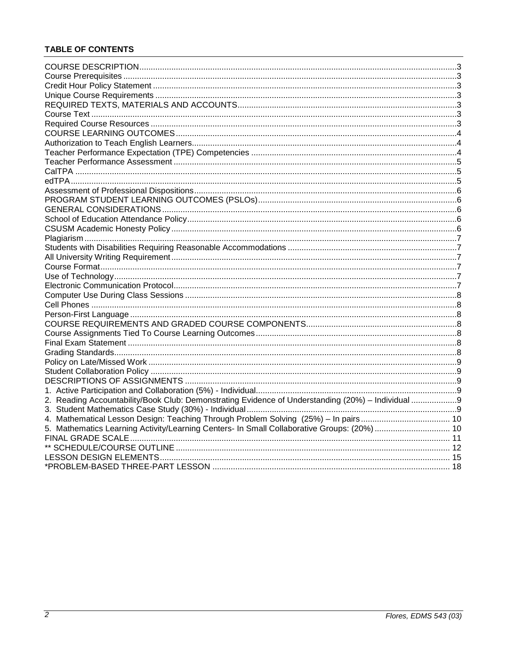## **TABLE OF CONTENTS**

| 2. Reading Accountability/Book Club: Demonstrating Evidence of Understanding (20%) - Individual 9 |  |
|---------------------------------------------------------------------------------------------------|--|
|                                                                                                   |  |
|                                                                                                   |  |
| 5. Mathematics Learning Activity/Learning Centers- In Small Collaborative Groups: (20%)  10       |  |
|                                                                                                   |  |
|                                                                                                   |  |
|                                                                                                   |  |
|                                                                                                   |  |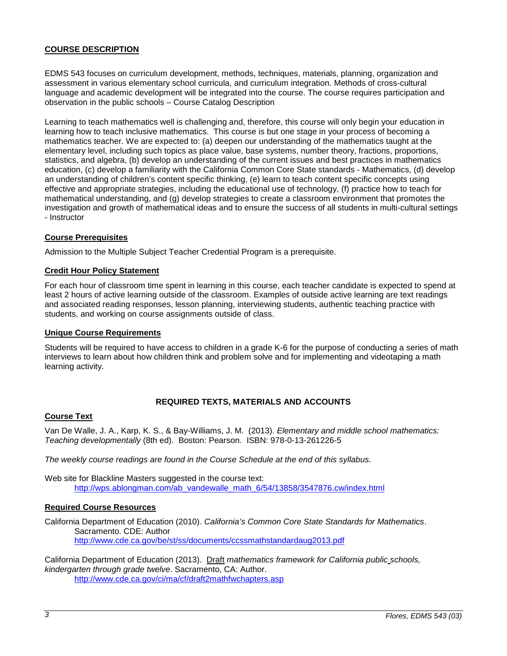## <span id="page-2-0"></span>**COURSE DESCRIPTION**

EDMS 543 focuses on curriculum development, methods, techniques, materials, planning, organization and assessment in various elementary school curricula, and curriculum integration. Methods of cross-cultural language and academic development will be integrated into the course. The course requires participation and observation in the public schools – Course Catalog Description

Learning to teach mathematics well is challenging and, therefore, this course will only begin your education in learning how to teach inclusive mathematics. This course is but one stage in your process of becoming a mathematics teacher. We are expected to: (a) deepen our understanding of the mathematics taught at the elementary level, including such topics as place value, base systems, number theory, fractions, proportions, statistics, and algebra, (b) develop an understanding of the current issues and best practices in mathematics education, (c) develop a familiarity with the California Common Core State standards - Mathematics, (d) develop an understanding of children's content specific thinking, (e) learn to teach content specific concepts using effective and appropriate strategies, including the educational use of technology, (f) practice how to teach for mathematical understanding, and (g) develop strategies to create a classroom environment that promotes the investigation and growth of mathematical ideas and to ensure the success of all students in multi-cultural settings - Instructor

### <span id="page-2-1"></span>**Course Prerequisites**

Admission to the Multiple Subject Teacher Credential Program is a prerequisite.

### <span id="page-2-2"></span>**Credit Hour Policy Statement**

For each hour of classroom time spent in learning in this course, each teacher candidate is expected to spend at least 2 hours of active learning outside of the classroom. Examples of outside active learning are text readings and associated reading responses, lesson planning, interviewing students, authentic teaching practice with students, and working on course assignments outside of class.

### <span id="page-2-3"></span>**Unique Course Requirements**

Students will be required to have access to children in a grade K-6 for the purpose of conducting a series of math interviews to learn about how children think and problem solve and for implementing and videotaping a math learning activity.

### **REQUIRED TEXTS, MATERIALS AND ACCOUNTS**

### <span id="page-2-5"></span><span id="page-2-4"></span>**Course Text**

Van De Walle, J. A., Karp, K. S., & Bay-Williams, J. M. (2013). *Elementary and middle school mathematics: Teaching developmentally* (8th ed). Boston: Pearson. ISBN: 978-0-13-261226-5

*The weekly course readings are found in the Course Schedule at the end of this syllabus.*

Web site for Blackline Masters suggested in the course text: [http://wps.ablongman.com/ab\\_vandewalle\\_math\\_6/54/13858/3547876.cw/index.html](http://wps.ablongman.com/ab_vandewalle_math_6/54/13858/3547876.cw/index.html)

### <span id="page-2-6"></span>**Required Course Resources**

California Department of Education (2010). *California's Common Core State Standards for Mathematics*. Sacramento. CDE: Author <http://www.cde.ca.gov/be/st/ss/documents/ccssmathstandardaug2013.pdf>

California Department of Education (2013). Draft *mathematics framework for California public schools, kindergarten through grade twelve*. Sacramento, CA: Author. <http://www.cde.ca.gov/ci/ma/cf/draft2mathfwchapters.asp>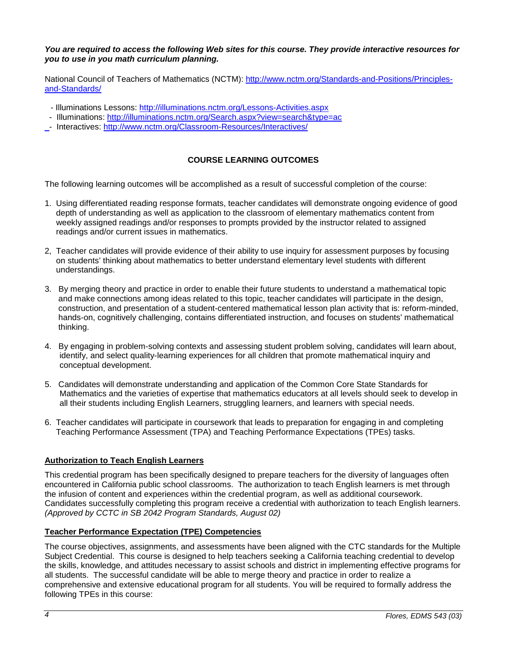### *You are required to access the following Web sites for this course. They provide interactive resources for you to use in you math curriculum planning.*

National Council of Teachers of Mathematics (NCTM): [http://www.nctm.org/Standards-and-Positions/Principles](http://www.nctm.org/Standards-and-Positions/Principles-and-Standards/)[and-Standards/](http://www.nctm.org/Standards-and-Positions/Principles-and-Standards/)

- Illuminations Lessons:<http://illuminations.nctm.org/Lessons-Activities.aspx>
- Illuminations:<http://illuminations.nctm.org/Search.aspx?view=search&type=ac>
- <span id="page-3-0"></span>- Interactives:<http://www.nctm.org/Classroom-Resources/Interactives/>

## **COURSE LEARNING OUTCOMES**

The following learning outcomes will be accomplished as a result of successful completion of the course:

- 1. Using differentiated reading response formats, teacher candidates will demonstrate ongoing evidence of good depth of understanding as well as application to the classroom of elementary mathematics content from weekly assigned readings and/or responses to prompts provided by the instructor related to assigned readings and/or current issues in mathematics.
- 2, Teacher candidates will provide evidence of their ability to use inquiry for assessment purposes by focusing on students' thinking about mathematics to better understand elementary level students with different understandings.
- 3. By merging theory and practice in order to enable their future students to understand a mathematical topic and make connections among ideas related to this topic, teacher candidates will participate in the design, construction, and presentation of a student-centered mathematical lesson plan activity that is: reform-minded, hands-on, cognitively challenging, contains differentiated instruction, and focuses on students' mathematical thinking.
- 4. By engaging in problem-solving contexts and assessing student problem solving, candidates will learn about, identify, and select quality-learning experiences for all children that promote mathematical inquiry and conceptual development.
- 5. Candidates will demonstrate understanding and application of the Common Core State Standards for Mathematics and the varieties of expertise that mathematics educators at all levels should seek to develop in all their students including English Learners, struggling learners, and learners with special needs.
- 6. Teacher candidates will participate in coursework that leads to preparation for engaging in and completing Teaching Performance Assessment (TPA) and Teaching Performance Expectations (TPEs) tasks.

## <span id="page-3-1"></span>**Authorization to Teach English Learners**

This credential program has been specifically designed to prepare teachers for the diversity of languages often encountered in California public school classrooms. The authorization to teach English learners is met through the infusion of content and experiences within the credential program, as well as additional coursework. Candidates successfully completing this program receive a credential with authorization to teach English learners. *(Approved by CCTC in SB 2042 Program Standards, August 02)*

### <span id="page-3-2"></span>**Teacher Performance Expectation (TPE) Competencies**

The course objectives, assignments, and assessments have been aligned with the CTC standards for the Multiple Subiect Credential. This course is designed to help teachers seeking a California teaching credential to develop the skills, knowledge, and attitudes necessary to assist schools and district in implementing effective programs for all students. The successful candidate will be able to merge theory and practice in order to realize a comprehensive and extensive educational program for all students. You will be required to formally address the following TPEs in this course: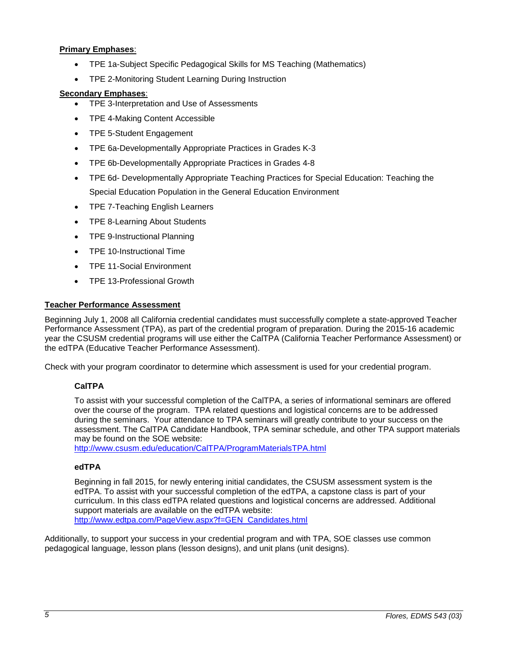## **Primary Emphases**:

- TPE 1a-Subject Specific Pedagogical Skills for MS Teaching (Mathematics)
- TPE 2-Monitoring Student Learning During Instruction

### **Secondary Emphases**:

- TPE 3-Interpretation and Use of Assessments
- TPE 4-Making Content Accessible
- TPE 5-Student Engagement
- TPE 6a-Developmentally Appropriate Practices in Grades K-3
- TPE 6b-Developmentally Appropriate Practices in Grades 4-8
- TPE 6d- Developmentally Appropriate Teaching Practices for Special Education: Teaching the Special Education Population in the General Education Environment
- TPE 7-Teaching English Learners
- TPE 8-Learning About Students
- TPE 9-Instructional Planning
- TPE 10-Instructional Time
- TPE 11-Social Environment
- TPE 13-Professional Growth

## <span id="page-4-0"></span>**Teacher Performance Assessment**

Beginning July 1, 2008 all California credential candidates must successfully complete a state-approved Teacher Performance Assessment (TPA), as part of the credential program of preparation. During the 2015-16 academic year the CSUSM credential programs will use either the CalTPA (California Teacher Performance Assessment) or the edTPA (Educative Teacher Performance Assessment).

<span id="page-4-1"></span>Check with your program coordinator to determine which assessment is used for your credential program.

## **CalTPA**

To assist with your successful completion of the CalTPA, a series of informational seminars are offered over the course of the program. TPA related questions and logistical concerns are to be addressed during the seminars. Your attendance to TPA seminars will greatly contribute to your success on the assessment. The CalTPA Candidate Handbook, TPA seminar schedule, and other TPA support materials may be found on the SOE website:

<http://www.csusm.edu/education/CalTPA/ProgramMaterialsTPA.html>

## <span id="page-4-2"></span>**edTPA**

Beginning in fall 2015, for newly entering initial candidates, the CSUSM assessment system is the edTPA. To assist with your successful completion of the edTPA, a capstone class is part of your curriculum. In this class edTPA related questions and logistical concerns are addressed. Additional support materials are available on the edTPA website: [http://www.edtpa.com/PageView.aspx?f=GEN\\_Candidates.html](http://www.edtpa.com/PageView.aspx?f=GEN_Candidates.html)

Additionally, to support your success in your credential program and with TPA, SOE classes use common pedagogical language, lesson plans (lesson designs), and unit plans (unit designs).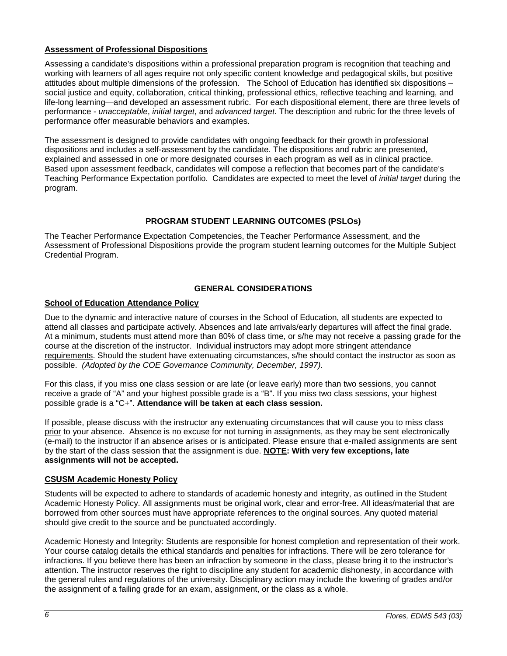## <span id="page-5-0"></span>**Assessment of Professional Dispositions**

Assessing a candidate's dispositions within a professional preparation program is recognition that teaching and working with learners of all ages require not only specific content knowledge and pedagogical skills, but positive attitudes about multiple dimensions of the profession. The School of Education has identified six dispositions – social justice and equity, collaboration, critical thinking, professional ethics, reflective teaching and learning, and life-long learning—and developed an assessment rubric. For each dispositional element, there are three levels of performance - *unacceptable*, *initial target*, and *advanced target*. The description and rubric for the three levels of performance offer measurable behaviors and examples.

The assessment is designed to provide candidates with ongoing feedback for their growth in professional dispositions and includes a self-assessment by the candidate. The dispositions and rubric are presented, explained and assessed in one or more designated courses in each program as well as in clinical practice. Based upon assessment feedback, candidates will compose a reflection that becomes part of the candidate's Teaching Performance Expectation portfolio. Candidates are expected to meet the level of *initial target* during the program.

## **PROGRAM STUDENT LEARNING OUTCOMES (PSLOs)**

<span id="page-5-1"></span>The Teacher Performance Expectation Competencies, the Teacher Performance Assessment, and the Assessment of Professional Dispositions provide the program student learning outcomes for the Multiple Subject Credential Program.

## **GENERAL CONSIDERATIONS**

## <span id="page-5-3"></span><span id="page-5-2"></span>**School of Education Attendance Policy**

Due to the dynamic and interactive nature of courses in the School of Education, all students are expected to attend all classes and participate actively. Absences and late arrivals/early departures will affect the final grade. At a minimum, students must attend more than 80% of class time, or s/he may not receive a passing grade for the course at the discretion of the instructor. Individual instructors may adopt more stringent attendance requirements. Should the student have extenuating circumstances, s/he should contact the instructor as soon as possible. *(Adopted by the COE Governance Community, December, 1997).*

For this class, if you miss one class session or are late (or leave early) more than two sessions, you cannot receive a grade of "A" and your highest possible grade is a "B". If you miss two class sessions, your highest possible grade is a "C+". **Attendance will be taken at each class session.**

If possible, please discuss with the instructor any extenuating circumstances that will cause you to miss class prior to your absence. Absence is no excuse for not turning in assignments, as they may be sent electronically (e-mail) to the instructor if an absence arises or is anticipated. Please ensure that e-mailed assignments are sent by the start of the class session that the assignment is due. **NOTE: With very few exceptions, late assignments will not be accepted.**

### <span id="page-5-4"></span>**CSUSM Academic Honesty Policy**

Students will be expected to adhere to standards of academic honesty and integrity, as outlined in the Student Academic Honesty Policy. All assignments must be original work, clear and error-free. All ideas/material that are borrowed from other sources must have appropriate references to the original sources. Any quoted material should give credit to the source and be punctuated accordingly.

Academic Honesty and Integrity: Students are responsible for honest completion and representation of their work. Your course catalog details the ethical standards and penalties for infractions. There will be zero tolerance for infractions. If you believe there has been an infraction by someone in the class, please bring it to the instructor's attention. The instructor reserves the right to discipline any student for academic dishonesty, in accordance with the general rules and regulations of the university. Disciplinary action may include the lowering of grades and/or the assignment of a failing grade for an exam, assignment, or the class as a whole.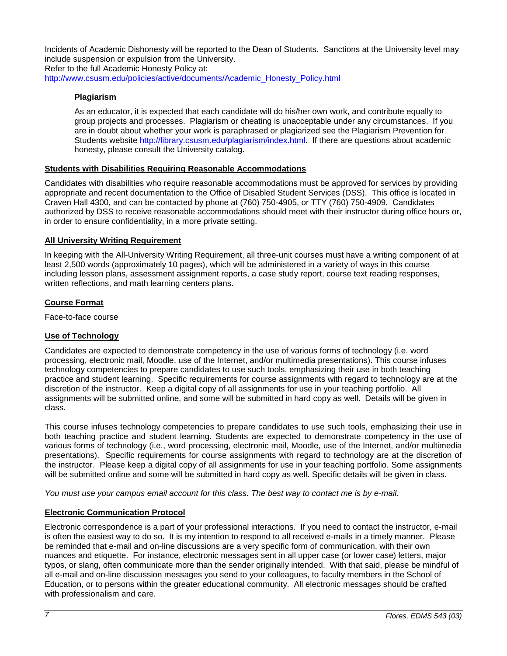Incidents of Academic Dishonesty will be reported to the Dean of Students. Sanctions at the University level may include suspension or expulsion from the University. Refer to the full Academic Honesty Policy at: [http://www.csusm.edu/policies/active/documents/Academic\\_Honesty\\_Policy.html](http://www.csusm.edu/policies/active/documents/Academic_Honesty_Policy.html)

## <span id="page-6-0"></span>**Plagiarism**

As an educator, it is expected that each candidate will do his/her own work, and contribute equally to group projects and processes. Plagiarism or cheating is unacceptable under any circumstances. If you are in doubt about whether your work is paraphrased or plagiarized see the Plagiarism Prevention for Students website [http://library.csusm.edu/plagiarism/index.html.](http://library.csusm.edu/plagiarism/index.html) If there are questions about academic honesty, please consult the University catalog.

### <span id="page-6-1"></span>**Students with Disabilities Requiring Reasonable Accommodations**

Candidates with disabilities who require reasonable accommodations must be approved for services by providing appropriate and recent documentation to the Office of Disabled Student Services (DSS). This office is located in Craven Hall 4300, and can be contacted by phone at (760) 750-4905, or TTY (760) 750-4909. Candidates authorized by DSS to receive reasonable accommodations should meet with their instructor during office hours or, in order to ensure confidentiality, in a more private setting.

### <span id="page-6-2"></span>**All University Writing Requirement**

In keeping with the All-University Writing Requirement, all three-unit courses must have a writing component of at least 2,500 words (approximately 10 pages), which will be administered in a variety of ways in this course including lesson plans, assessment assignment reports, a case study report, course text reading responses, written reflections, and math learning centers plans.

## <span id="page-6-3"></span>**Course Format**

Face-to-face course

## <span id="page-6-4"></span>**Use of Technology**

Candidates are expected to demonstrate competency in the use of various forms of technology (i.e. word processing, electronic mail, Moodle, use of the Internet, and/or multimedia presentations). This course infuses technology competencies to prepare candidates to use such tools, emphasizing their use in both teaching practice and student learning. Specific requirements for course assignments with regard to technology are at the discretion of the instructor. Keep a digital copy of all assignments for use in your teaching portfolio. All assignments will be submitted online, and some will be submitted in hard copy as well. Details will be given in class.

This course infuses technology competencies to prepare candidates to use such tools, emphasizing their use in both teaching practice and student learning. Students are expected to demonstrate competency in the use of various forms of technology (i.e., word processing, electronic mail, Moodle, use of the Internet, and/or multimedia presentations). Specific requirements for course assignments with regard to technology are at the discretion of the instructor. Please keep a digital copy of all assignments for use in your teaching portfolio. Some assignments will be submitted online and some will be submitted in hard copy as well. Specific details will be given in class.

*You must use your campus email account for this class. The best way to contact me is by e-mail.* 

## <span id="page-6-5"></span>**Electronic Communication Protocol**

Electronic correspondence is a part of your professional interactions. If you need to contact the instructor, e-mail is often the easiest way to do so. It is my intention to respond to all received e-mails in a timely manner. Please be reminded that e-mail and on-line discussions are a very specific form of communication, with their own nuances and etiquette. For instance, electronic messages sent in all upper case (or lower case) letters, major typos, or slang, often communicate more than the sender originally intended. With that said, please be mindful of all e-mail and on-line discussion messages you send to your colleagues, to faculty members in the School of Education, or to persons within the greater educational community. All electronic messages should be crafted with professionalism and care.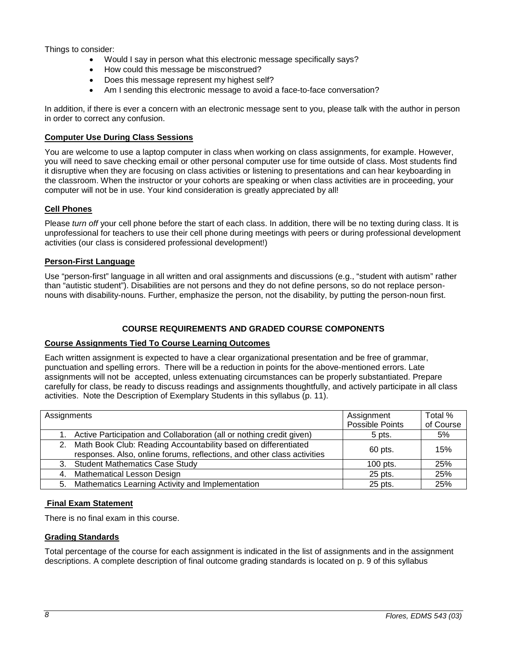Things to consider:

- Would I say in person what this electronic message specifically says?
- How could this message be misconstrued?
- Does this message represent my highest self?
- Am I sending this electronic message to avoid a face-to-face conversation?

In addition, if there is ever a concern with an electronic message sent to you, please talk with the author in person in order to correct any confusion.

### <span id="page-7-0"></span>**Computer Use During Class Sessions**

You are welcome to use a laptop computer in class when working on class assignments, for example. However, you will need to save checking email or other personal computer use for time outside of class. Most students find it disruptive when they are focusing on class activities or listening to presentations and can hear keyboarding in the classroom. When the instructor or your cohorts are speaking or when class activities are in proceeding, your computer will not be in use. Your kind consideration is greatly appreciated by all!

## <span id="page-7-1"></span>**Cell Phones**

Please *turn off* your cell phone before the start of each class. In addition, there will be no texting during class. It is unprofessional for teachers to use their cell phone during meetings with peers or during professional development activities (our class is considered professional development!)

## <span id="page-7-2"></span>**Person-First Language**

Use "person-first" language in all written and oral assignments and discussions (e.g., "student with autism" rather than "autistic student"). Disabilities are not persons and they do not define persons, so do not replace personnouns with disability-nouns. Further, emphasize the person, not the disability, by putting the person-noun first.

## **COURSE REQUIREMENTS AND GRADED COURSE COMPONENTS**

## <span id="page-7-4"></span><span id="page-7-3"></span>**Course Assignments Tied To Course Learning Outcomes**

Each written assignment is expected to have a clear organizational presentation and be free of grammar, punctuation and spelling errors. There will be a reduction in points for the above-mentioned errors. Late assignments will not be accepted, unless extenuating circumstances can be properly substantiated. Prepare carefully for class, be ready to discuss readings and assignments thoughtfully, and actively participate in all class activities. Note the Description of Exemplary Students in this syllabus (p. 11).

| Assignments |                                                                                                                                              | Assignment<br>Possible Points | Total %<br>of Course |
|-------------|----------------------------------------------------------------------------------------------------------------------------------------------|-------------------------------|----------------------|
|             | 1. Active Participation and Collaboration (all or nothing credit given)                                                                      | 5 pts.                        | 5%                   |
|             | 2. Math Book Club: Reading Accountability based on differentiated<br>responses. Also, online forums, reflections, and other class activities | 60 pts.                       | 15%                  |
|             | 3. Student Mathematics Case Study                                                                                                            | $100$ pts.                    | 25%                  |
| 4.          | <b>Mathematical Lesson Design</b>                                                                                                            | 25 pts.                       | 25%                  |
|             | 5. Mathematics Learning Activity and Implementation                                                                                          | 25 pts.                       | 25%                  |

## <span id="page-7-5"></span>**Final Exam Statement**

There is no final exam in this course.

## <span id="page-7-6"></span>**Grading Standards**

Total percentage of the course for each assignment is indicated in the list of assignments and in the assignment descriptions. A complete description of final outcome grading standards is located on p. 9 of this syllabus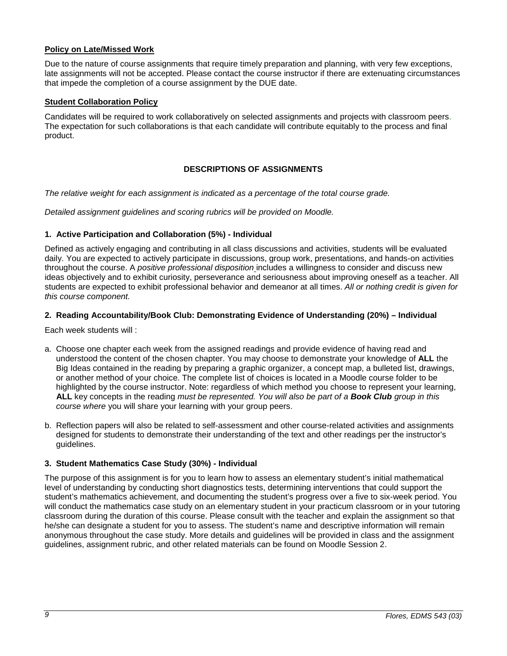### <span id="page-8-0"></span>**Policy on Late/Missed Work**

Due to the nature of course assignments that require timely preparation and planning, with very few exceptions, late assignments will not be accepted. Please contact the course instructor if there are extenuating circumstances that impede the completion of a course assignment by the DUE date.

### <span id="page-8-1"></span>**Student Collaboration Policy**

Candidates will be required to work collaboratively on selected assignments and projects with classroom peers. The expectation for such collaborations is that each candidate will contribute equitably to the process and final product.

## **DESCRIPTIONS OF ASSIGNMENTS**

<span id="page-8-2"></span>*The relative weight for each assignment is indicated as a percentage of the total course grade.*

*Detailed assignment guidelines and scoring rubrics will be provided on Moodle.* 

## <span id="page-8-3"></span>**1. Active Participation and Collaboration (5%) - Individual**

Defined as actively engaging and contributing in all class discussions and activities, students will be evaluated daily. You are expected to actively participate in discussions, group work, presentations, and hands-on activities throughout the course. A *positive professional disposition* includes a willingness to consider and discuss new ideas objectively and to exhibit curiosity, perseverance and seriousness about improving oneself as a teacher. All students are expected to exhibit professional behavior and demeanor at all times. *All or nothing credit is given for this course component.* 

### <span id="page-8-4"></span>**2. Reading Accountability/Book Club: Demonstrating Evidence of Understanding (20%) – Individual**

Each week students will :

- a. Choose one chapter each week from the assigned readings and provide evidence of having read and understood the content of the chosen chapter. You may choose to demonstrate your knowledge of **ALL** the Big Ideas contained in the reading by preparing a graphic organizer, a concept map, a bulleted list, drawings, or another method of your choice. The complete list of choices is located in a Moodle course folder to be highlighted by the course instructor. Note: regardless of which method you choose to represent your learning, **ALL** key concepts in the reading *must be represented. You will also be part of a Book Club group in this course where* you will share your learning with your group peers.
- b. Reflection papers will also be related to self-assessment and other course-related activities and assignments designed for students to demonstrate their understanding of the text and other readings per the instructor's guidelines.

## <span id="page-8-5"></span>**3. Student Mathematics Case Study (30%) - Individual**

The purpose of this assignment is for you to learn how to assess an elementary student's initial mathematical level of understanding by conducting short diagnostics tests, determining interventions that could support the student's mathematics achievement, and documenting the student's progress over a five to six-week period. You will conduct the mathematics case study on an elementary student in your practicum classroom or in your tutoring classroom during the duration of this course. Please consult with the teacher and explain the assignment so that he/she can designate a student for you to assess. The student's name and descriptive information will remain anonymous throughout the case study. More details and guidelines will be provided in class and the assignment guidelines, assignment rubric, and other related materials can be found on Moodle Session 2.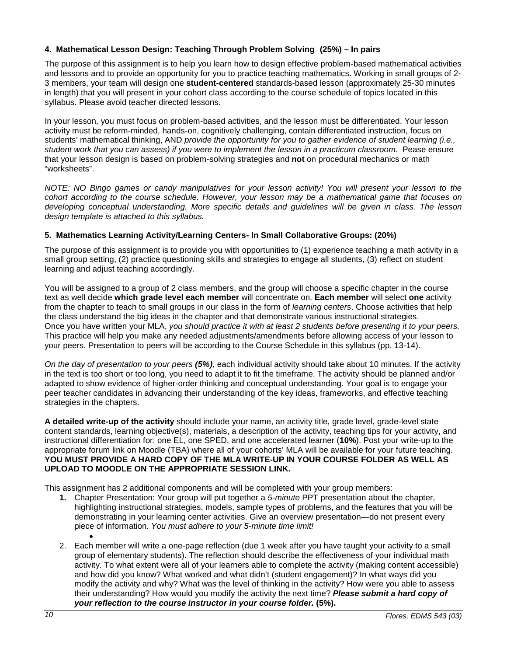## <span id="page-9-0"></span>**4. Mathematical Lesson Design: Teaching Through Problem Solving (25%) – In pairs**

The purpose of this assignment is to help you learn how to design effective problem-based mathematical activities and lessons and to provide an opportunity for you to practice teaching mathematics. Working in small groups of 2- 3 members, your team will design one **student-centered** standards-based lesson (approximately 25-30 minutes in length) that you will present in your cohort class according to the course schedule of topics located in this syllabus. Please avoid teacher directed lessons.

In your lesson, you must focus on problem-based activities, and the lesson must be differentiated. Your lesson activity must be reform-minded, hands-on, cognitively challenging, contain differentiated instruction, focus on students' mathematical thinking, AND *provide the opportunity for you to gather evidence of student learning (i.e., student work that you can assess) if you were to implement the lesson in a practicum classroom.* Pease ensure that your lesson design is based on problem-solving strategies and **not** on procedural mechanics or math "worksheets".

*NOTE: NO Bingo games or candy manipulatives for your lesson activity! You will present your lesson to the cohort according to the course schedule. However, your lesson may be a mathematical game that focuses on developing conceptual understanding. More specific details and guidelines will be given in class. The lesson design template is attached to this syllabus.*

### <span id="page-9-1"></span>**5. Mathematics Learning Activity/Learning Centers- In Small Collaborative Groups: (20%)**

The purpose of this assignment is to provide you with opportunities to (1) experience teaching a math activity in a small group setting, (2) practice questioning skills and strategies to engage all students, (3) reflect on student learning and adjust teaching accordingly.

You will be assigned to a group of 2 class members, and the group will choose a specific chapter in the course text as well decide **which grade level each member** will concentrate on. **Each member** will select **one** activity from the chapter to teach to small groups in our class in the form of *learning centers*. Choose activities that help the class understand the big ideas in the chapter and that demonstrate various instructional strategies. Once you have written your MLA, *you should practice it with at least 2 students before presenting it to your peers.* This practice will help you make any needed adjustments/amendments before allowing access of your lesson to your peers. Presentation to peers will be according to the Course Schedule in this syllabus (pp. 13-14).

*On the day of presentation to your peers (5%),* each individual activity should take about 10 minutes. If the activity in the text is too short or too long, you need to adapt it to fit the timeframe. The activity should be planned and/or adapted to show evidence of higher-order thinking and conceptual understanding. Your goal is to engage your peer teacher candidates in advancing their understanding of the key ideas, frameworks, and effective teaching strategies in the chapters.

**A detailed write-up of the activity** should include your name, an activity title, grade level, grade-level state content standards, learning objective(s), materials, a description of the activity, teaching tips for your activity, and instructional differentiation for: one EL, one SPED, and one accelerated learner (**10%**). Post your write-up to the appropriate forum link on Moodle (TBA) where all of your cohorts' MLA will be available for your future teaching. **YOU MUST PROVIDE A HARD COPY OF THE MLA WRITE-UP IN YOUR COURSE FOLDER AS WELL AS UPLOAD TO MOODLE ON THE APPROPRIATE SESSION LINK.**

This assignment has 2 additional components and will be completed with your group members:

- **1.** Chapter Presentation: Your group will put together a *5-minute* PPT presentation about the chapter, highlighting instructional strategies, models, sample types of problems, and the features that you will be demonstrating in your learning center activities. Give an overview presentation—do not present every piece of information. *You must adhere to your 5-minute time limit!* •
- 2. Each member will write a one-page reflection (due 1 week after you have taught your activity to a small group of elementary students). The reflection should describe the effectiveness of your individual math activity. To what extent were all of your learners able to complete the activity (making content accessible) and how did you know? What worked and what didn't (student engagement)? In what ways did you modify the activity and why? What was the level of thinking in the activity? How were you able to assess their understanding? How would you modify the activity the next time? *Please submit a hard copy of your reflection to the course instructor in your course folder.* **(5%).**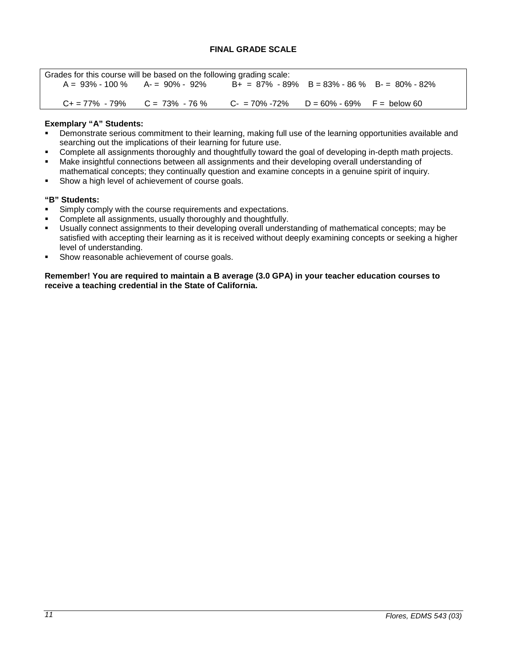<span id="page-10-0"></span>

| Grades for this course will be based on the following grading scale: |                                       |                                                 |  |  |
|----------------------------------------------------------------------|---------------------------------------|-------------------------------------------------|--|--|
| $A = 93\% - 100\%$ $A = 90\% - 92\%$                                 |                                       | $B+ = 87\% - 89\%$ B = 83% - 86 % B - 80% - 82% |  |  |
|                                                                      |                                       |                                                 |  |  |
|                                                                      | $C_+ = 77\% - 79\%$ $C = 73\% - 76\%$ | $C = 70\% - 72\%$ D = 60% - 69% F = below 60    |  |  |

## **Exemplary "A" Students:**

- Demonstrate serious commitment to their learning, making full use of the learning opportunities available and searching out the implications of their learning for future use.
- Complete all assignments thoroughly and thoughtfully toward the goal of developing in-depth math projects.
- Make insightful connections between all assignments and their developing overall understanding of mathematical concepts; they continually question and examine concepts in a genuine spirit of inquiry.
- **Show a high level of achievement of course goals.**

## **"B" Students:**

- Simply comply with the course requirements and expectations.
- **Complete all assignments, usually thoroughly and thoughtfully.**<br> **Lisually connect assignments to their developing overall unders**
- Usually connect assignments to their developing overall understanding of mathematical concepts; may be satisfied with accepting their learning as it is received without deeply examining concepts or seeking a higher level of understanding.
- Show reasonable achievement of course goals.

**Remember! You are required to maintain a B average (3.0 GPA) in your teacher education courses to receive a teaching credential in the State of California.**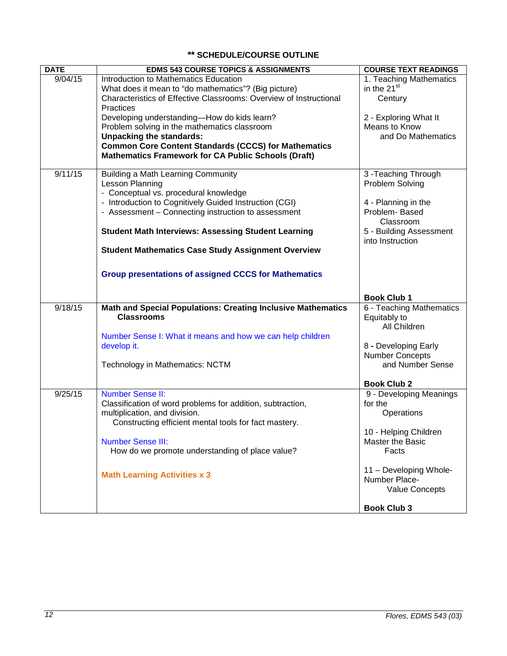# **\*\* SCHEDULE/COURSE OUTLINE**

<span id="page-11-0"></span>

| <b>DATE</b> | <b>EDMS 543 COURSE TOPICS &amp; ASSIGNMENTS</b>                     | <b>COURSE TEXT READINGS</b> |
|-------------|---------------------------------------------------------------------|-----------------------------|
| 9/04/15     | Introduction to Mathematics Education                               | 1. Teaching Mathematics     |
|             | What does it mean to "do mathematics"? (Big picture)                | in the 21 <sup>st</sup>     |
|             | Characteristics of Effective Classrooms: Overview of Instructional  | Century                     |
|             | Practices                                                           |                             |
|             | Developing understanding-How do kids learn?                         | 2 - Exploring What It       |
|             | Problem solving in the mathematics classroom                        | Means to Know               |
|             | <b>Unpacking the standards:</b>                                     | and Do Mathematics          |
|             | <b>Common Core Content Standards (CCCS) for Mathematics</b>         |                             |
|             | <b>Mathematics Framework for CA Public Schools (Draft)</b>          |                             |
| 9/11/15     | <b>Building a Math Learning Community</b>                           | 3-Teaching Through          |
|             | Lesson Planning                                                     | Problem Solving             |
|             | - Conceptual vs. procedural knowledge                               |                             |
|             | - Introduction to Cognitively Guided Instruction (CGI)              | 4 - Planning in the         |
|             | - Assessment - Connecting instruction to assessment                 | Problem-Based               |
|             |                                                                     | Classroom                   |
|             | <b>Student Math Interviews: Assessing Student Learning</b>          | 5 - Building Assessment     |
|             |                                                                     | into Instruction            |
|             | <b>Student Mathematics Case Study Assignment Overview</b>           |                             |
|             |                                                                     |                             |
|             | <b>Group presentations of assigned CCCS for Mathematics</b>         |                             |
|             |                                                                     |                             |
|             |                                                                     | <b>Book Club 1</b>          |
| 9/18/15     | <b>Math and Special Populations: Creating Inclusive Mathematics</b> | 6 - Teaching Mathematics    |
|             | <b>Classrooms</b>                                                   | Equitably to                |
|             |                                                                     | All Children                |
|             | Number Sense I: What it means and how we can help children          |                             |
|             | develop it.                                                         | 8 - Developing Early        |
|             |                                                                     | <b>Number Concepts</b>      |
|             | Technology in Mathematics: NCTM                                     | and Number Sense            |
|             |                                                                     | <b>Book Club 2</b>          |
| 9/25/15     | <b>Number Sense II:</b>                                             | 9 - Developing Meanings     |
|             | Classification of word problems for addition, subtraction,          | for the                     |
|             | multiplication, and division.                                       | Operations                  |
|             | Constructing efficient mental tools for fact mastery.               |                             |
|             |                                                                     | 10 - Helping Children       |
|             | <b>Number Sense III:</b>                                            | Master the Basic            |
|             | How do we promote understanding of place value?                     | Facts                       |
|             |                                                                     |                             |
|             | <b>Math Learning Activities x 3</b>                                 | 11 - Developing Whole-      |
|             |                                                                     | Number Place-               |
|             |                                                                     | <b>Value Concepts</b>       |
|             |                                                                     |                             |
|             |                                                                     | <b>Book Club 3</b>          |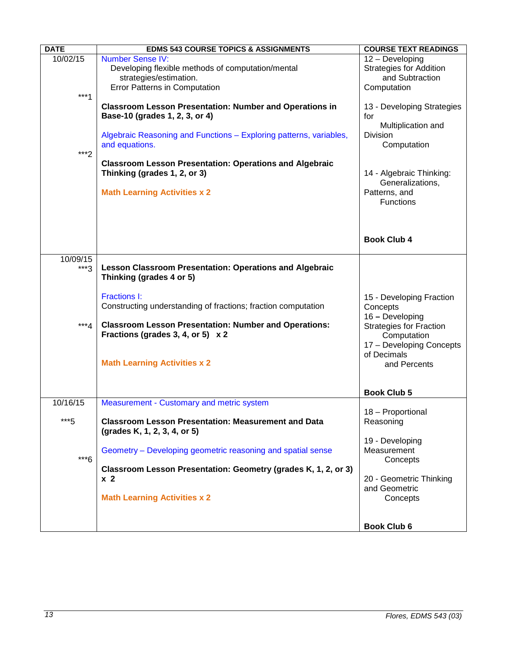| <b>DATE</b>        | <b>EDMS 543 COURSE TOPICS &amp; ASSIGNMENTS</b>                                                                                                                                                                                                            | <b>COURSE TEXT READINGS</b>                                                                                                                                         |
|--------------------|------------------------------------------------------------------------------------------------------------------------------------------------------------------------------------------------------------------------------------------------------------|---------------------------------------------------------------------------------------------------------------------------------------------------------------------|
| 10/02/15<br>$***1$ | <b>Number Sense IV:</b><br>Developing flexible methods of computation/mental<br>strategies/estimation.<br><b>Error Patterns in Computation</b>                                                                                                             | 12 - Developing<br><b>Strategies for Addition</b><br>and Subtraction<br>Computation                                                                                 |
| ***2               | <b>Classroom Lesson Presentation: Number and Operations in</b><br>Base-10 (grades 1, 2, 3, or 4)<br>Algebraic Reasoning and Functions - Exploring patterns, variables,<br>and equations.<br><b>Classroom Lesson Presentation: Operations and Algebraic</b> | 13 - Developing Strategies<br>for<br>Multiplication and<br><b>Division</b><br>Computation                                                                           |
|                    | Thinking (grades 1, 2, or 3)<br><b>Math Learning Activities x 2</b>                                                                                                                                                                                        | 14 - Algebraic Thinking:<br>Generalizations,<br>Patterns, and<br>Functions                                                                                          |
|                    |                                                                                                                                                                                                                                                            | <b>Book Club 4</b>                                                                                                                                                  |
| 10/09/15<br>$***3$ | <b>Lesson Classroom Presentation: Operations and Algebraic</b><br>Thinking (grades 4 or 5)                                                                                                                                                                 |                                                                                                                                                                     |
| ***4               | <b>Fractions I:</b><br>Constructing understanding of fractions; fraction computation<br><b>Classroom Lesson Presentation: Number and Operations:</b><br>Fractions (grades 3, 4, or 5) x 2<br><b>Math Learning Activities x 2</b>                           | 15 - Developing Fraction<br>Concepts<br>16 - Developing<br><b>Strategies for Fraction</b><br>Computation<br>17 - Developing Concepts<br>of Decimals<br>and Percents |
|                    |                                                                                                                                                                                                                                                            | <b>Book Club 5</b>                                                                                                                                                  |
| 10/16/15           | Measurement - Customary and metric system                                                                                                                                                                                                                  |                                                                                                                                                                     |
| $***5$             | <b>Classroom Lesson Presentation: Measurement and Data</b><br>(grades K, 1, 2, 3, 4, or 5)                                                                                                                                                                 | 18 - Proportional<br>Reasoning                                                                                                                                      |
| $***6$             | Geometry – Developing geometric reasoning and spatial sense                                                                                                                                                                                                | 19 - Developing<br>Measurement<br>Concepts                                                                                                                          |
|                    | Classroom Lesson Presentation: Geometry (grades K, 1, 2, or 3)<br>x <sub>2</sub>                                                                                                                                                                           | 20 - Geometric Thinking                                                                                                                                             |
|                    | <b>Math Learning Activities x 2</b>                                                                                                                                                                                                                        | and Geometric<br>Concepts                                                                                                                                           |
|                    |                                                                                                                                                                                                                                                            | <b>Book Club 6</b>                                                                                                                                                  |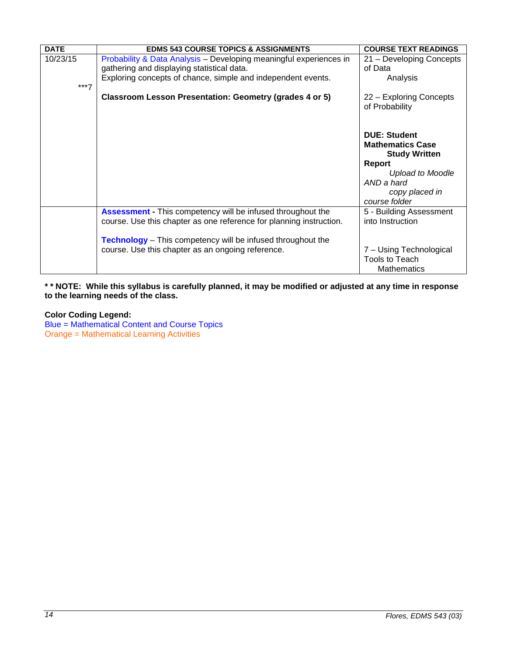| <b>DATE</b> | <b>EDMS 543 COURSE TOPICS &amp; ASSIGNMENTS</b>                                                                                           | <b>COURSE TEXT READINGS</b>                                            |
|-------------|-------------------------------------------------------------------------------------------------------------------------------------------|------------------------------------------------------------------------|
| 10/23/15    | Probability & Data Analysis - Developing meaningful experiences in<br>gathering and displaying statistical data.                          | 21 - Developing Concepts<br>of Data                                    |
| $***7$      | Exploring concepts of chance, simple and independent events.                                                                              | Analysis                                                               |
|             | Classroom Lesson Presentation: Geometry (grades 4 or 5)                                                                                   | 22 - Exploring Concepts<br>of Probability                              |
|             |                                                                                                                                           | <b>DUE: Student</b><br><b>Mathematics Case</b><br><b>Study Written</b> |
|             |                                                                                                                                           | <b>Report</b>                                                          |
|             |                                                                                                                                           | <b>Upload to Moodle</b><br>AND a hard                                  |
|             |                                                                                                                                           | copy placed in<br>course folder                                        |
|             | <b>Assessment</b> - This competency will be infused throughout the<br>course. Use this chapter as one reference for planning instruction. | 5 - Building Assessment<br>into Instruction                            |
|             | <b>Technology</b> – This competency will be infused throughout the                                                                        |                                                                        |
|             | course. Use this chapter as an ongoing reference.                                                                                         | 7 - Using Technological                                                |
|             |                                                                                                                                           | Tools to Teach<br>Mathematics                                          |

**\* \* NOTE: While this syllabus is carefully planned, it may be modified or adjusted at any time in response to the learning needs of the class.**

# **Color Coding Legend:**

Blue = Mathematical Content and Course Topics Orange = Mathematical Learning Activities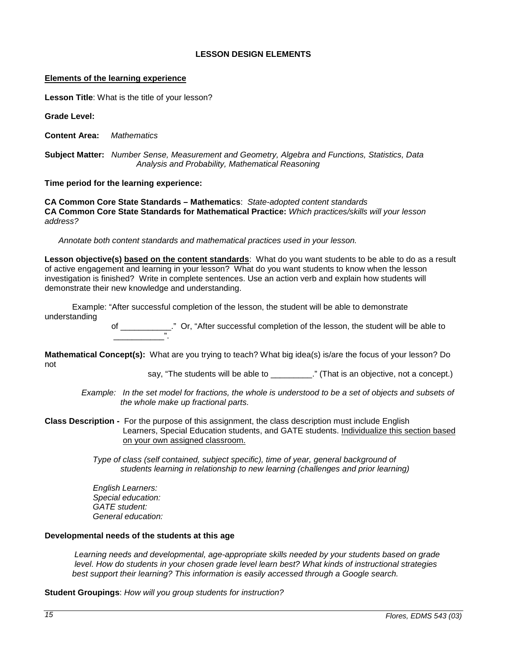## **LESSON DESIGN ELEMENTS**

#### <span id="page-14-0"></span>**Elements of the learning experience**

**Lesson Title**: What is the title of your lesson?

**Grade Level:**

**Content Area:** *Mathematics*

**Subject Matter:** *Number Sense, Measurement and Geometry, Algebra and Functions, Statistics, Data Analysis and Probability, Mathematical Reasoning*

**Time period for the learning experience:** 

**CA Common Core State Standards – Mathematics**: *State-adopted content standards* **CA Common Core State Standards for Mathematical Practice:** *Which practices/skills will your lesson address?*

 *Annotate both content standards and mathematical practices used in your lesson.*

**Lesson objective(s) based on the content standards**: What do you want students to be able to do as a result of active engagement and learning in your lesson? What do you want students to know when the lesson investigation is finished? Write in complete sentences. Use an action verb and explain how students will demonstrate their new knowledge and understanding.

 Example: "After successful completion of the lesson, the student will be able to demonstrate understanding

 of \_\_\_\_\_\_\_\_\_\_\_." Or, "After successful completion of the lesson, the student will be able to \_\_\_\_\_\_\_\_\_\_\_".

**Mathematical Concept(s):** What are you trying to teach? What big idea(s) is/are the focus of your lesson? Do not

say, "The students will be able to \_\_\_\_\_\_\_\_\_." (That is an objective, not a concept.)

*Example: In the set model for fractions, the whole is understood to be a set of objects and subsets of the whole make up fractional parts.*

**Class Description -** For the purpose of this assignment, the class description must include English Learners, Special Education students, and GATE students. Individualize this section based on your own assigned classroom.

> *Type of class (self contained, subject specific), time of year, general background of students learning in relationship to new learning (challenges and prior learning)*

 *English Learners: Special education: GATE student: General education:* 

### **Developmental needs of the students at this age**

*Learning needs and developmental, age-appropriate skills needed by your students based on grade level. How do students in your chosen grade level learn best? What kinds of instructional strategies best support their learning? This information is easily accessed through a Google search.*

**Student Groupings**: *How will you group students for instruction?*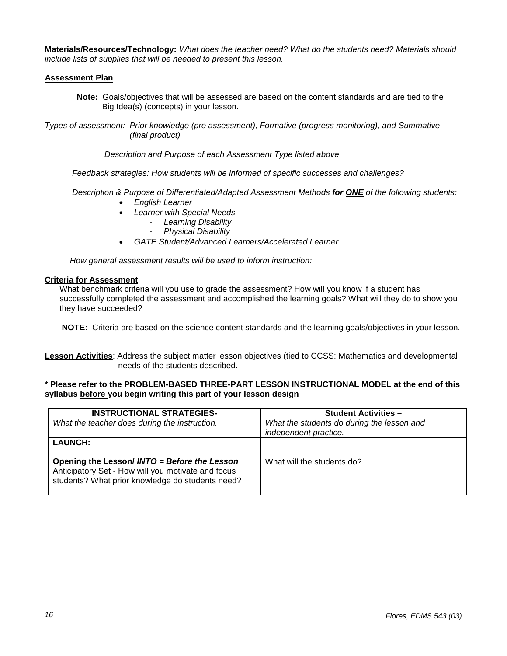**Materials/Resources/Technology:** *What does the teacher need? What do the students need? Materials should include lists of supplies that will be needed to present this lesson.*

## **Assessment Plan**

**Note:** Goals/objectives that will be assessed are based on the content standards and are tied to the Big Idea(s) (concepts) in your lesson.

*Types of assessment: Prior knowledge (pre assessment), Formative (progress monitoring), and Summative (final product)*

 *Description and Purpose of each Assessment Type listed above*

 *Feedback strategies: How students will be informed of specific successes and challenges?*

 *Description & Purpose of Differentiated/Adapted Assessment Methods for ONE of the following students:*

- *English Learner*
- *Learner with Special Needs*
	- *Learning Disability*
		- *Physical Disability*
- *GATE Student/Advanced Learners/Accelerated Learner*

 *How general assessment results will be used to inform instruction:*

### **Criteria for Assessment**

What benchmark criteria will you use to grade the assessment? How will you know if a student has successfully completed the assessment and accomplished the learning goals? What will they do to show you they have succeeded?

**NOTE:** Criteria are based on the science content standards and the learning goals/objectives in your lesson.

**Lesson Activities**: Address the subject matter lesson objectives (tied to CCSS: Mathematics and developmental needs of the students described.

### **\* Please refer to the PROBLEM-BASED THREE-PART LESSON INSTRUCTIONAL MODEL at the end of this syllabus before you begin writing this part of your lesson design**

| <b>INSTRUCTIONAL STRATEGIES-</b><br>What the teacher does during the instruction.                                                                                        | <b>Student Activities -</b><br>What the students do during the lesson and<br>independent practice. |
|--------------------------------------------------------------------------------------------------------------------------------------------------------------------------|----------------------------------------------------------------------------------------------------|
| <b>LAUNCH:</b><br>Opening the Lesson/ INTO = Before the Lesson<br>Anticipatory Set - How will you motivate and focus<br>students? What prior knowledge do students need? | What will the students do?                                                                         |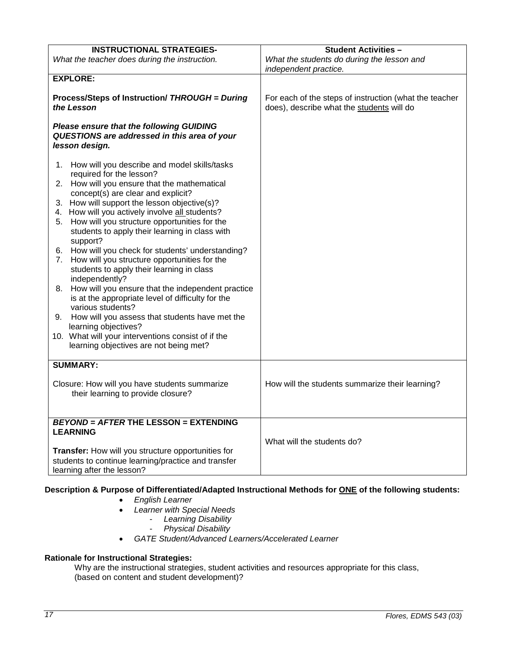| <b>INSTRUCTIONAL STRATEGIES-</b>                        | <b>Student Activities -</b>                            |
|---------------------------------------------------------|--------------------------------------------------------|
| What the teacher does during the instruction.           | What the students do during the lesson and             |
|                                                         | independent practice.                                  |
| <b>EXPLORE:</b>                                         |                                                        |
|                                                         |                                                        |
| Process/Steps of Instruction/ THROUGH = During          | For each of the steps of instruction (what the teacher |
| the Lesson                                              | does), describe what the students will do              |
|                                                         |                                                        |
| <b>Please ensure that the following GUIDING</b>         |                                                        |
| QUESTIONS are addressed in this area of your            |                                                        |
| lesson design.                                          |                                                        |
| How will you describe and model skills/tasks<br>1.      |                                                        |
| required for the lesson?                                |                                                        |
| How will you ensure that the mathematical<br>2.         |                                                        |
| concept(s) are clear and explicit?                      |                                                        |
| 3. How will support the lesson objective(s)?            |                                                        |
| How will you actively involve all students?<br>4.       |                                                        |
| How will you structure opportunities for the<br>5.      |                                                        |
| students to apply their learning in class with          |                                                        |
| support?                                                |                                                        |
| 6. How will you check for students' understanding?      |                                                        |
| How will you structure opportunities for the<br>7.      |                                                        |
| students to apply their learning in class               |                                                        |
| independently?                                          |                                                        |
| How will you ensure that the independent practice<br>8. |                                                        |
| is at the appropriate level of difficulty for the       |                                                        |
| various students?                                       |                                                        |
| How will you assess that students have met the<br>9.    |                                                        |
| learning objectives?                                    |                                                        |
| 10. What will your interventions consist of if the      |                                                        |
| learning objectives are not being met?                  |                                                        |
| <b>SUMMARY:</b>                                         |                                                        |
|                                                         |                                                        |
| Closure: How will you have students summarize           | How will the students summarize their learning?        |
| their learning to provide closure?                      |                                                        |
|                                                         |                                                        |
|                                                         |                                                        |
| <b>BEYOND = AFTER THE LESSON = EXTENDING</b>            |                                                        |
| <b>LEARNING</b>                                         |                                                        |
|                                                         | What will the students do?                             |
| Transfer: How will you structure opportunities for      |                                                        |
| students to continue learning/practice and transfer     |                                                        |
| learning after the lesson?                              |                                                        |

# **Description & Purpose of Differentiated/Adapted Instructional Methods for ONE of the following students:**

- *English Learner*
- *Learner with Special Needs*
	- *Learning Disability*
	- *Physical Disability*
- *GATE Student/Advanced Learners/Accelerated Learner*

## <span id="page-16-0"></span>**Rationale for Instructional Strategies:**

Why are the instructional strategies, student activities and resources appropriate for this class, (based on content and student development)?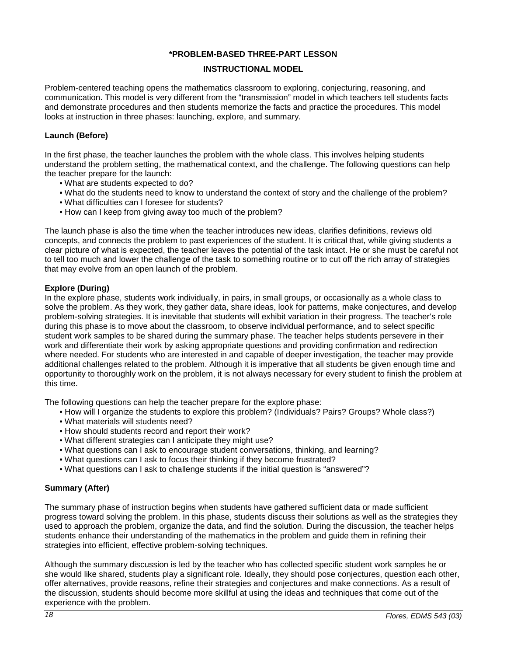### **\*PROBLEM-BASED THREE-PART LESSON**

### **INSTRUCTIONAL MODEL**

Problem-centered teaching opens the mathematics classroom to exploring, conjecturing, reasoning, and communication. This model is very different from the "transmission" model in which teachers tell students facts and demonstrate procedures and then students memorize the facts and practice the procedures. This model looks at instruction in three phases: launching, explore, and summary.

### **Launch (Before)**

In the first phase, the teacher launches the problem with the whole class. This involves helping students understand the problem setting, the mathematical context, and the challenge. The following questions can help the teacher prepare for the launch:

- What are students expected to do?
- What do the students need to know to understand the context of story and the challenge of the problem?
- What difficulties can I foresee for students?
- How can I keep from giving away too much of the problem?

The launch phase is also the time when the teacher introduces new ideas, clarifies definitions, reviews old concepts, and connects the problem to past experiences of the student. It is critical that, while giving students a clear picture of what is expected, the teacher leaves the potential of the task intact. He or she must be careful not to tell too much and lower the challenge of the task to something routine or to cut off the rich array of strategies that may evolve from an open launch of the problem.

### **Explore (During)**

In the explore phase, students work individually, in pairs, in small groups, or occasionally as a whole class to solve the problem. As they work, they gather data, share ideas, look for patterns, make conjectures, and develop problem-solving strategies. It is inevitable that students will exhibit variation in their progress. The teacher's role during this phase is to move about the classroom, to observe individual performance, and to select specific student work samples to be shared during the summary phase. The teacher helps students persevere in their work and differentiate their work by asking appropriate questions and providing confirmation and redirection where needed. For students who are interested in and capable of deeper investigation, the teacher may provide additional challenges related to the problem. Although it is imperative that all students be given enough time and opportunity to thoroughly work on the problem, it is not always necessary for every student to finish the problem at this time.

The following questions can help the teacher prepare for the explore phase:

- How will I organize the students to explore this problem? (Individuals? Pairs? Groups? Whole class?)
- What materials will students need?
- How should students record and report their work?
- What different strategies can I anticipate they might use?
- What questions can I ask to encourage student conversations, thinking, and learning?
- What questions can I ask to focus their thinking if they become frustrated?
- What questions can I ask to challenge students if the initial question is "answered"?

### **Summary (After)**

The summary phase of instruction begins when students have gathered sufficient data or made sufficient progress toward solving the problem. In this phase, students discuss their solutions as well as the strategies they used to approach the problem, organize the data, and find the solution. During the discussion, the teacher helps students enhance their understanding of the mathematics in the problem and guide them in refining their strategies into efficient, effective problem-solving techniques.

Although the summary discussion is led by the teacher who has collected specific student work samples he or she would like shared, students play a significant role. Ideally, they should pose conjectures, question each other, offer alternatives, provide reasons, refine their strategies and conjectures and make connections. As a result of the discussion, students should become more skillful at using the ideas and techniques that come out of the experience with the problem.